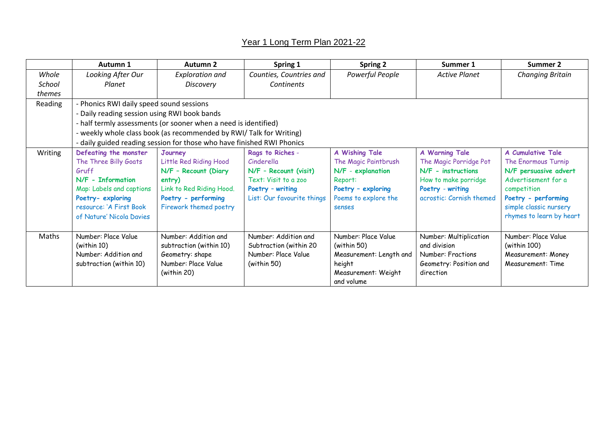## Year 1 Long Term Plan 2021-22

|         | Autumn 1                                                                                                                                                                            | Autumn 2                                                                                                                                         | Spring 1                                                                                                                          | <b>Spring 2</b>                                                                                                                              | Summer 1                                                                                                                               | Summer 2                                                                                                                                                                                    |  |
|---------|-------------------------------------------------------------------------------------------------------------------------------------------------------------------------------------|--------------------------------------------------------------------------------------------------------------------------------------------------|-----------------------------------------------------------------------------------------------------------------------------------|----------------------------------------------------------------------------------------------------------------------------------------------|----------------------------------------------------------------------------------------------------------------------------------------|---------------------------------------------------------------------------------------------------------------------------------------------------------------------------------------------|--|
| Whole   | Looking After Our                                                                                                                                                                   | <b>Exploration and</b>                                                                                                                           | Counties, Countries and                                                                                                           | Powerful People                                                                                                                              | <b>Active Planet</b>                                                                                                                   | <b>Changing Britain</b>                                                                                                                                                                     |  |
| School  | Planet                                                                                                                                                                              | <b>Discovery</b>                                                                                                                                 | <b>Continents</b>                                                                                                                 |                                                                                                                                              |                                                                                                                                        |                                                                                                                                                                                             |  |
| themes  |                                                                                                                                                                                     |                                                                                                                                                  |                                                                                                                                   |                                                                                                                                              |                                                                                                                                        |                                                                                                                                                                                             |  |
| Reading | - Phonics RWI daily speed sound sessions                                                                                                                                            |                                                                                                                                                  |                                                                                                                                   |                                                                                                                                              |                                                                                                                                        |                                                                                                                                                                                             |  |
|         | - Daily reading session using RWI book bands                                                                                                                                        |                                                                                                                                                  |                                                                                                                                   |                                                                                                                                              |                                                                                                                                        |                                                                                                                                                                                             |  |
|         | - half termly assessments (or sooner when a need is identified)                                                                                                                     |                                                                                                                                                  |                                                                                                                                   |                                                                                                                                              |                                                                                                                                        |                                                                                                                                                                                             |  |
|         |                                                                                                                                                                                     | - weekly whole class book (as recommended by RWI/ Talk for Writing)                                                                              |                                                                                                                                   |                                                                                                                                              |                                                                                                                                        |                                                                                                                                                                                             |  |
|         |                                                                                                                                                                                     | - daily guided reading session for those who have finished RWI Phonics                                                                           |                                                                                                                                   |                                                                                                                                              |                                                                                                                                        |                                                                                                                                                                                             |  |
| Writing | Defeating the monster<br>The Three Billy Goats<br>Gruff<br>N/F - Information<br>Map: Labels and captions<br>Poetry-exploring<br>resource: 'A First Book<br>of Nature' Nicola Davies | Journey<br>Little Red Riding Hood<br>N/F - Recount (Diary<br>entry)<br>Link to Red Riding Hood.<br>Poetry - performing<br>Firework themed poetry | Rags to Riches -<br>Cinderella<br>N/F - Recount (visit)<br>Text: Visit to a zoo<br>Poetry - writing<br>List: Our favourite things | <b>A Wishing Tale</b><br>The Magic Paintbrush<br>N/F - explanation<br>Report:<br>Poetry - exploring<br>Poems to explore the<br><b>Senses</b> | A Warning Tale<br>The Magic Porridge Pot<br>N/F - instructions<br>How to make porridge<br>Poetry - writing<br>acrostic: Cornish themed | <b>A Cumulative Tale</b><br>The Enormous Turnip<br>N/F persuasive advert<br>Advertisement for a<br>competition<br>Poetry - performing<br>simple classic nursery<br>rhymes to learn by heart |  |
| Maths   | Number: Place Value<br>(within 10)<br>Number: Addition and<br>subtraction (within 10)                                                                                               | Number: Addition and<br>subtraction (within 10)<br>Geometry: shape<br>Number: Place Value<br>(within 20)                                         | Number: Addition and<br>Subtraction (within 20<br>Number: Place Value<br>(within 50)                                              | Number: Place Value<br>(within 50)<br>Measurement: Length and<br>height<br>Measurement: Weight<br>and volume                                 | Number: Multiplication<br>and division<br>Number: Fractions<br>Geometry: Position and<br>direction                                     | Number: Place Value<br>(within 100)<br>Measurement: Money<br>Measurement: Time                                                                                                              |  |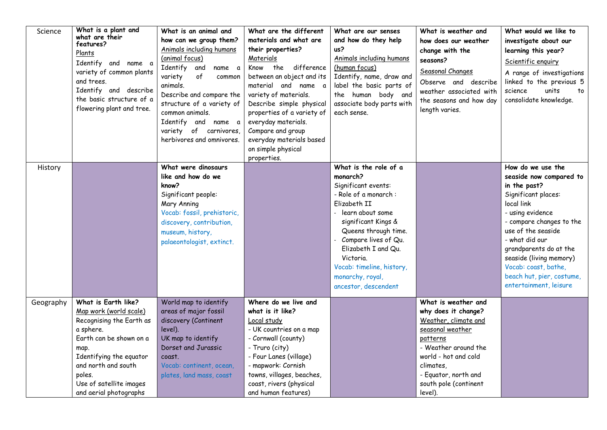| Science   | What is a plant and<br>what are their<br>features?<br>Plants<br>Identify and name a<br>variety of common plants<br>and trees.<br>Identify and describe<br>the basic structure of a<br>flowering plant and tree.                            | What is an animal and<br>how can we group them?<br>Animals including humans<br>(animal focus)<br>Identify and<br>name a<br>variety<br>of<br>common<br>animals.<br>Describe and compare the<br>structure of a variety of<br>common animals.<br>Identify and name a<br>variety of carnivores,<br>herbivores and omnivores. | What are the different<br>materials and what are<br>their properties?<br>Materials<br>Know the difference<br>between an object and its<br>material and name a<br>variety of materials.<br>Describe simple physical<br>properties of a variety of<br>everyday materials.<br>Compare and group<br>everyday materials based<br>on simple physical<br>properties. | What are our senses<br>and how do they help<br>us?<br>Animals including humans<br>(human focus)<br>Identify, name, draw and<br>label the basic parts of<br>the human body and<br>associate body parts with<br>each sense.                                                                                | What is weather and<br>how does our weather<br>change with the<br>seasons?<br>Seasonal Changes<br>Observe and describe<br>weather associated with<br>the seasons and how day<br>length varies.                              | What would we like to<br>investigate about our<br>learning this year?<br>Scientific enquiry<br>A range of investigations<br>linked to the previous 5<br>science<br>units<br>to<br>consolidate knowledge.                                                                                                                      |
|-----------|--------------------------------------------------------------------------------------------------------------------------------------------------------------------------------------------------------------------------------------------|--------------------------------------------------------------------------------------------------------------------------------------------------------------------------------------------------------------------------------------------------------------------------------------------------------------------------|---------------------------------------------------------------------------------------------------------------------------------------------------------------------------------------------------------------------------------------------------------------------------------------------------------------------------------------------------------------|----------------------------------------------------------------------------------------------------------------------------------------------------------------------------------------------------------------------------------------------------------------------------------------------------------|-----------------------------------------------------------------------------------------------------------------------------------------------------------------------------------------------------------------------------|-------------------------------------------------------------------------------------------------------------------------------------------------------------------------------------------------------------------------------------------------------------------------------------------------------------------------------|
| History   |                                                                                                                                                                                                                                            | What were dinosaurs<br>like and how do we<br>know?<br>Significant people:<br>Mary Anning<br>Vocab: fossil, prehistoric,<br>discovery, contribution,<br>museum, history,<br>palaeontologist, extinct.                                                                                                                     |                                                                                                                                                                                                                                                                                                                                                               | What is the role of a<br>monarch?<br>Significant events:<br>- Role of a monarch:<br>Elizabeth II<br>learn about some<br>significant Kings &<br>Queens through time.<br>Compare lives of Qu.<br>Elizabeth I and Qu.<br>Victoria.<br>Vocab: timeline, history,<br>monarchy, royal,<br>ancestor, descendent |                                                                                                                                                                                                                             | How do we use the<br>seaside now compared to<br>in the past?<br>Significant places:<br>local link<br>- using evidence<br>- compare changes to the<br>use of the seaside<br>- what did our<br>grandparents do at the<br>seaside (living memory)<br>Vocab: coast, bathe,<br>beach hut, pier, costume,<br>entertainment, leisure |
| Geography | What is Earth like?<br>Map work (world scale)<br>Recognising the Earth as<br>a sphere.<br>Earth can be shown on a<br>map.<br>Identifying the equator<br>and north and south<br>poles.<br>Use of satellite images<br>and aerial photographs | World map to identify<br>areas of major fossil<br>discovery (Continent<br>level).<br>UK map to identify<br>Dorset and Jurassic<br>coast.<br>Vocab: continent, ocean,<br>plates, land mass, coast                                                                                                                         | Where do we live and<br>what is it like?<br>Local study<br>- UK countries on a map<br>- Cornwall (county)<br>- Truro (city)<br>- Four Lanes (village)<br>- mapwork: Cornish<br>towns, villages, beaches,<br>coast, rivers (physical<br>and human features)                                                                                                    |                                                                                                                                                                                                                                                                                                          | What is weather and<br>why does it change?<br>Weather, climate and<br>seasonal weather<br>patterns<br>- Weather around the<br>world - hot and cold<br>climates,<br>- Equator, north and<br>south pole (continent<br>level). |                                                                                                                                                                                                                                                                                                                               |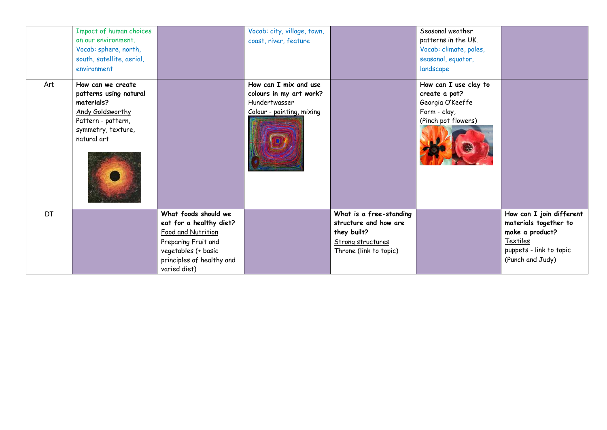|           | Impact of human choices<br>on our environment.<br>Vocab: sphere, north,<br>south, satellite, aerial,<br>environment                      |                                                                                                                                                                  | Vocab: city, village, town,<br>coast, river, feature                                           |                                                                                                                | Seasonal weather<br>patterns in the UK.<br>Vocab: climate, poles,<br>seasonal, equator,<br>landscape |                                                                                                                                 |
|-----------|------------------------------------------------------------------------------------------------------------------------------------------|------------------------------------------------------------------------------------------------------------------------------------------------------------------|------------------------------------------------------------------------------------------------|----------------------------------------------------------------------------------------------------------------|------------------------------------------------------------------------------------------------------|---------------------------------------------------------------------------------------------------------------------------------|
| Art       | How can we create<br>patterns using natural<br>materials?<br>Andy Goldsworthy<br>Pattern - pattern,<br>symmetry, texture,<br>natural art |                                                                                                                                                                  | How can I mix and use<br>colours in my art work?<br>Hundertwasser<br>Colour - painting, mixing |                                                                                                                | How can I use clay to<br>create a pot?<br>Georgia O'Keeffe<br>Form - clay,<br>(Pinch pot flowers)    |                                                                                                                                 |
| <b>DT</b> |                                                                                                                                          | What foods should we<br>eat for a healthy diet?<br>Food and Nutrition<br>Preparing Fruit and<br>vegetables (+ basic<br>principles of healthy and<br>varied diet) |                                                                                                | What is a free-standing<br>structure and how are<br>they built?<br>Strong structures<br>Throne (link to topic) |                                                                                                      | How can I join different<br>materials together to<br>make a product?<br>Textiles<br>puppets - link to topic<br>(Punch and Judy) |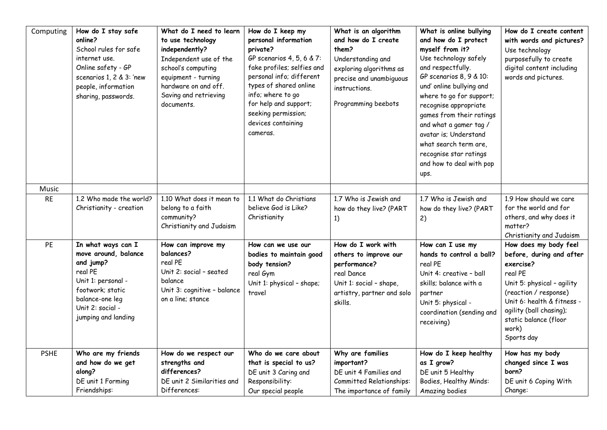| Computing   | How do I stay safe<br>online?<br>School rules for safe<br>internet use.<br>Online safety - GP<br>scenarios 1, 2 & 3: 'new<br>people, information<br>sharing, passwords.    | What do I need to learn<br>to use technology<br>independently?<br>Independent use of the<br>school's computing<br>equipment - turning<br>hardware on and off.<br>Saving and retrieving<br>documents. | How do I keep my<br>personal information<br>private?<br>GP scenarios 4, 5, 6 & 7:<br>fake profiles; selfies and<br>personal info; different<br>types of shared online<br>info; where to go<br>for help and support;<br>seeking permission;<br>devices containing<br>cameras. | What is an algorithm<br>and how do I create<br>them?<br>Understanding and<br>exploring algorithms as<br>precise and unambiguous<br>instructions.<br>Programming beebots | What is online bullying<br>and how do I protect<br>myself from it?<br>Use technology safely<br>and respectfully.<br>GP scenarios 8, 9 & 10:<br>und' online bullying and<br>where to go for support;<br>recognise appropriate<br>games from their ratings<br>and what a gamer tag /<br>avatar is; Understand<br>what search term are,<br>recognise star ratings<br>and how to deal with pop<br>ups. | How do I create content<br>with words and pictures?<br>Use technology<br>purposefully to create<br>digital content including<br>words and pictures.                                                                                       |
|-------------|----------------------------------------------------------------------------------------------------------------------------------------------------------------------------|------------------------------------------------------------------------------------------------------------------------------------------------------------------------------------------------------|------------------------------------------------------------------------------------------------------------------------------------------------------------------------------------------------------------------------------------------------------------------------------|-------------------------------------------------------------------------------------------------------------------------------------------------------------------------|----------------------------------------------------------------------------------------------------------------------------------------------------------------------------------------------------------------------------------------------------------------------------------------------------------------------------------------------------------------------------------------------------|-------------------------------------------------------------------------------------------------------------------------------------------------------------------------------------------------------------------------------------------|
| Music       |                                                                                                                                                                            |                                                                                                                                                                                                      |                                                                                                                                                                                                                                                                              |                                                                                                                                                                         |                                                                                                                                                                                                                                                                                                                                                                                                    |                                                                                                                                                                                                                                           |
| <b>RE</b>   | 1.2 Who made the world?<br>Christianity - creation                                                                                                                         | 1.10 What does it mean to<br>belong to a faith<br>community?<br>Christianity and Judaism                                                                                                             | 1.1 What do Christians<br>believe God is Like?<br>Christianity                                                                                                                                                                                                               | 1.7 Who is Jewish and<br>how do they live? (PART<br>1)                                                                                                                  | 1.7 Who is Jewish and<br>how do they live? (PART<br>2)                                                                                                                                                                                                                                                                                                                                             | 1.9 How should we care<br>for the world and for<br>others, and why does it<br>matter?<br>Christianity and Judaism                                                                                                                         |
| PE          | In what ways can I<br>move around, balance<br>and jump?<br>real PE<br>Unit 1: personal -<br>footwork; static<br>balance-one leg<br>Unit 2: social -<br>jumping and landing | How can improve my<br>balances?<br>real PE<br>Unit 2: social - seated<br>balance<br>Unit 3: cognitive - balance<br>on a line; stance                                                                 | How can we use our<br>bodies to maintain good<br>body tension?<br>real Gym<br>Unit 1: physical - shape;<br>travel                                                                                                                                                            | How do I work with<br>others to improve our<br>performance?<br>real Dance<br>Unit 1: social - shape,<br>artistry, partner and solo<br>skills.                           | How can I use my<br>hands to control a ball?<br>real PE<br>Unit 4: creative - ball<br>skills; balance with a<br>partner<br>Unit 5: physical -<br>coordination (sending and<br>receiving)                                                                                                                                                                                                           | How does my body feel<br>before, during and after<br>exercise?<br>real PE<br>Unit 5: physical - agility<br>(reaction / response)<br>Unit 6: health & fitness -<br>agility (ball chasing);<br>static balance (floor<br>work)<br>Sports day |
| <b>PSHE</b> | Who are my friends<br>and how do we get<br>along?<br>DE unit 1 Forming<br>Friendships:                                                                                     | How do we respect our<br>strengths and<br>differences?<br>DE unit 2 Similarities and<br>Differences:                                                                                                 | Who do we care about<br>that is special to us?<br>DE unit 3 Caring and<br>Responsibility:<br>Our special people                                                                                                                                                              | Why are families<br>important?<br>DE unit 4 Families and<br>Committed Relationships:<br>The importance of family                                                        | How do I keep healthy<br>as I grow?<br>DE unit 5 Healthy<br>Bodies, Healthy Minds:<br>Amazing bodies                                                                                                                                                                                                                                                                                               | How has my body<br>changed since I was<br>born?<br>DE unit 6 Coping With<br>Change:                                                                                                                                                       |